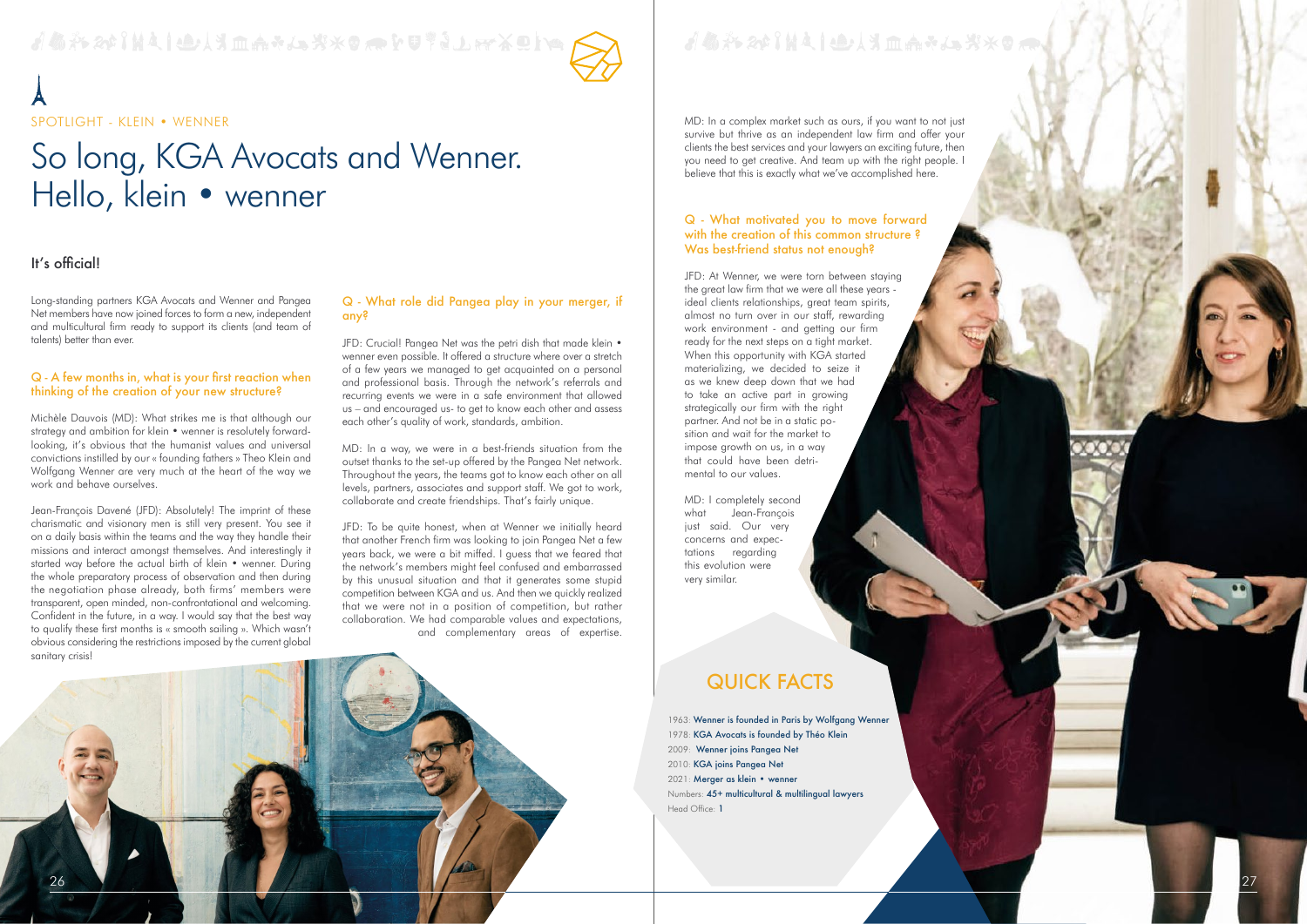

# So long, KGA Avocats and Wenner. Hello, klein • wenner

d & \* 20 Int i eller da \* J. \* \* 0 a F U \* 1 Jan X O Int /

SPOTLIGHT - KLEIN • WENNER

Long-standing partners KGA Avocats and Wenner and Pangea Net members have now joined forces to form a new, independent and multicultural firm ready to support its clients (and team of talents) better than ever.

#### Q - A few months in, what is your first reaction when thinking of the creation of your new structure?

Michèle Dauvois (MD): What strikes me is that although our strategy and ambition for klein • wenner is resolutely forwardlooking, it's obvious that the humanist values and universal convictions instilled by our « founding fathers » Theo Klein and Wolfgang Wenner are very much at the heart of the way we work and behave ourselves.

JFD: Crucial! Pangea Net was the petri dish that made klein • wenner even possible. It offered a structure where over a stretch of a few years we managed to get acquainted on a personal and professional basis. Through the network's referrals and recurring events we were in a safe environment that allowed us – and encouraged us- to get to know each other and assess each other's quality of work, standards, ambition.

Jean-François Davené (JFD): Absolutely! The imprint of these charismatic and visionary men is still very present. You see it on a daily basis within the teams and the way they handle their missions and interact amongst themselves. And interestingly it started way before the actual birth of klein • wenner. During the whole preparatory process of observation and then during the negotiation phase already, both firms' members were transparent, open minded, non-confrontational and welcoming. Confident in the future, in a way. I would say that the best way to qualify these first months is « smooth sailing ». Which wasn't obvious considering the restrictions imposed by the current global sanitary crisis!

#### Q - What role did Pangea play in your merger, if any?

- 1978: KGA Avocats is founded by Théo Klein 2010: KGA joins Pangea Net 2009: Wenner joins Pangea Net 2021: Merger as klein • wenner Numbers: 45+ multicultural & multilingual lawyers
- Head Office: 1



MD: In a way, we were in a best-friends situation from the outset thanks to the set-up offered by the Pangea Net network. Throughout the years, the teams got to know each other on all levels, partners, associates and support staff. We got to work, collaborate and create friendships. That's fairly unique.

JFD: To be quite honest, when at Wenner we initially heard that another French firm was looking to join Pangea Net a few years back, we were a bit miffed. I guess that we feared that the network's members might feel confused and embarrassed by this unusual situation and that it generates some stupid competition between KGA and us. And then we quickly realized that we were not in a position of competition, but rather collaboration. We had comparable values and expectations, and complementary areas of expertise.

## It's official!